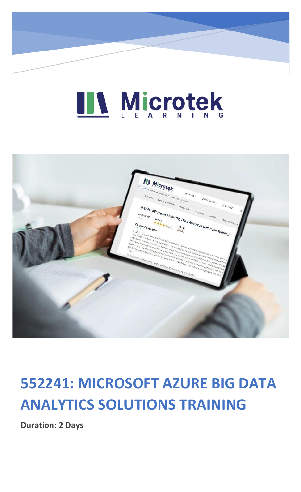# LL Microtek



### **552241: MICROSOFT AZURE BIG DATA ANALYTICS SOLUTIONS TRAINING**

**Duration: 2 Days**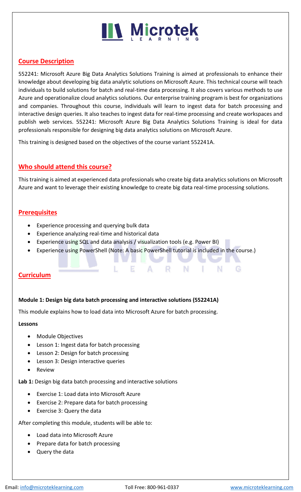## **N** Microtek

### **Course Description**

552241: Microsoft Azure Big Data Analytics Solutions Training is aimed at professionals to enhance their knowledge about developing big data analytic solutions on Microsoft Azure. This technical course will teach individuals to build solutions for batch and real-time data processing. It also covers various methods to use Azure and operationalize cloud analytics solutions. Our enterprise training program is best for organizations and companies. Throughout this course, individuals will learn to ingest data for batch processing and interactive design queries. It also teaches to ingest data for real-time processing and create workspaces and publish web services. 552241: Microsoft Azure Big Data Analytics Solutions Training is ideal for data professionals responsible for designing big data analytics solutions on Microsoft Azure.

This training is designed based on the objectives of the course variant 552241A.

### **Who should attend this course?**

This training is aimed at experienced data professionals who create big data analytics solutions on Microsoft Azure and want to leverage their existing knowledge to create big data real-time processing solutions.

### **Prerequisites**

- Experience processing and querying bulk data
- Experience analyzing real-time and historical data
- Experience using SQL and data analysis / visualization tools (e.g. Power BI)

E

• Experience using PowerShell (Note: A basic PowerShell tutorial is included in the course.)

R

N

٠

N

### **Curriculum**

### **Module 1: Design big data batch processing and interactive solutions (552241A)**

This module explains how to load data into Microsoft Azure for batch processing.

#### **Lessons**

- Module Objectives
- Lesson 1: Ingest data for batch processing
- Lesson 2: Design for batch processing
- Lesson 3: Design interactive queries
- Review

**Lab 1:** Design big data batch processing and interactive solutions

- Exercise 1: Load data into Microsoft Azure
- Exercise 2: Prepare data for batch processing
- Exercise 3: Query the data

After completing this module, students will be able to:

- Load data into Microsoft Azure
- Prepare data for batch processing
- Query the data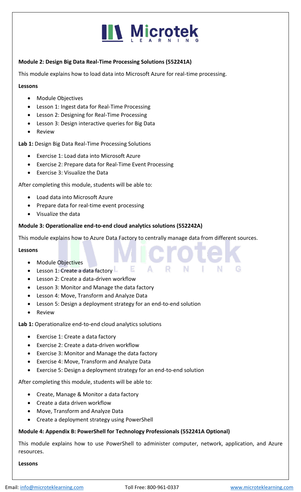### **IN Microtek**

### **Module 2: Design Big Data Real-Time Processing Solutions (552241A)**

This module explains how to load data into Microsoft Azure for real-time processing.

### **Lessons**

- Module Objectives
- Lesson 1: Ingest data for Real-Time Processing
- Lesson 2: Designing for Real-Time Processing
- Lesson 3: Design interactive queries for Big Data
- Review

**Lab 1:** Design Big Data Real-Time Processing Solutions

- Exercise 1: Load data into Microsoft Azure
- Exercise 2: Prepare data for Real-Time Event Processing
- Exercise 3: Visualize the Data

After completing this module, students will be able to:

- Load data into Microsoft Azure
- Prepare data for real-time event processing
- Visualize the data

### **Module 3: Operationalize end-to-end cloud analytics solutions (552242A)**

This module explains how to Azure Data Factory to centrally manage data from different sources.

A

R

Е

#### **Lessons**

- Module Objectives
- Lesson 1: Create a data factory L
- Lesson 2: Create a data-driven workflow
- Lesson 3: Monitor and Manage the data factory
- Lesson 4: Move, Transform and Analyze Data
- Lesson 5: Design a deployment strategy for an end-to-end solution
- **Review**

**Lab 1:** Operationalize end-to-end cloud analytics solutions

- Exercise 1: Create a data factory
- Exercise 2: Create a data-driven workflow
- Exercise 3: Monitor and Manage the data factory
- Exercise 4: Move, Transform and Analyze Data
- Exercise 5: Design a deployment strategy for an end-to-end solution

After completing this module, students will be able to:

- Create, Manage & Monitor a data factory
- Create a data driven workflow
- Move, Transform and Analyze Data
- Create a deployment strategy using PowerShell

### **Module 4: Appendix B: PowerShell for Technology Professionals (552241A Optional)**

This module explains how to use PowerShell to administer computer, network, application, and Azure resources.

#### **Lessons**